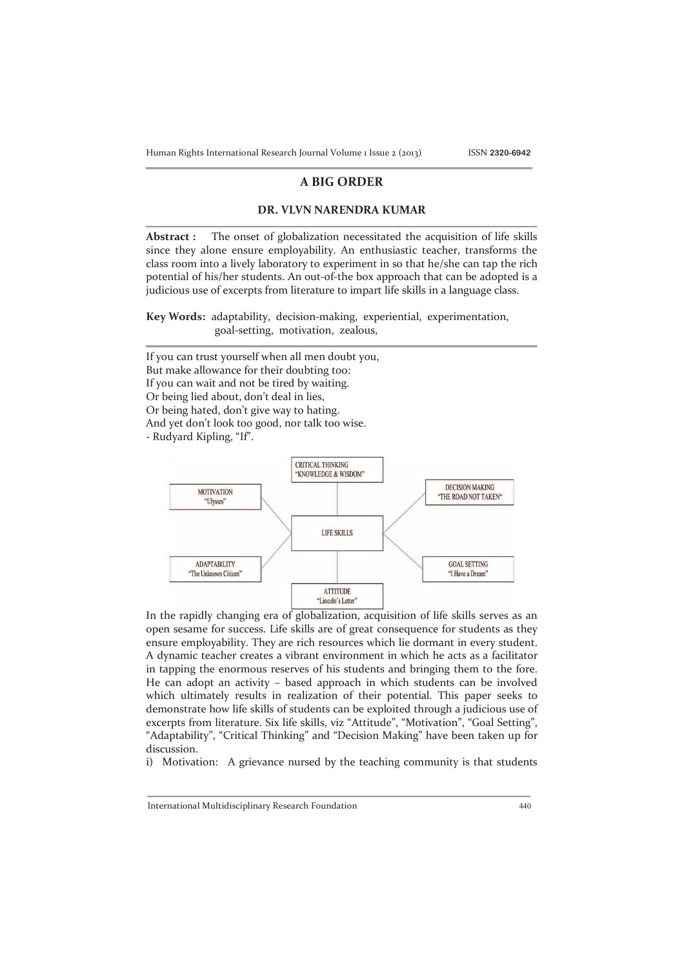Human Rights International Research Journal Volume 1 Issue 2 (2013) ISSN **2320-6942**

# **A BIG ORDER**

## **DR. VLVN NARENDRA KUMAR**

**Abstract :** The onset of globalization necessitated the acquisition of life skills since they alone ensure employability. An enthusiastic teacher, transforms the class room into a lively laboratory to experiment in so that he/she can tap the rich potential of his/her students. An out-of-the box approach that can be adopted is a judicious use of excerpts from literature to impart life skills in a language class.

**Key Words:** adaptability, decision-making, experiential, experimentation, goal-setting, motivation, zealous,

If you can trust yourself when all men doubt you, But make allowance for their doubting too: If you can wait and not be tired by waiting. Or being lied about, don't deal in lies, Or being hated, don't give way to hating. And yet don't look too good, nor talk too wise. - Rudyard Kipling, "If".



In the rapidly changing era of globalization, acquisition of life skills serves as an open sesame for success. Life skills are of great consequence for students as they ensure employability. They are rich resources which lie dormant in every student. A dynamic teacher creates a vibrant environment in which he acts as a facilitator in tapping the enormous reserves of his students and bringing them to the fore. He can adopt an activity – based approach in which students can be involved which ultimately results in realization of their potential. This paper seeks to demonstrate how life skills of students can be exploited through a judicious use of excerpts from literature. Six life skills, viz "Attitude", "Motivation", "Goal Setting", "Adaptability", "Critical Thinking" and "Decision Making" have been taken up for discussion.

i) Motivation: A grievance nursed by the teaching community is that students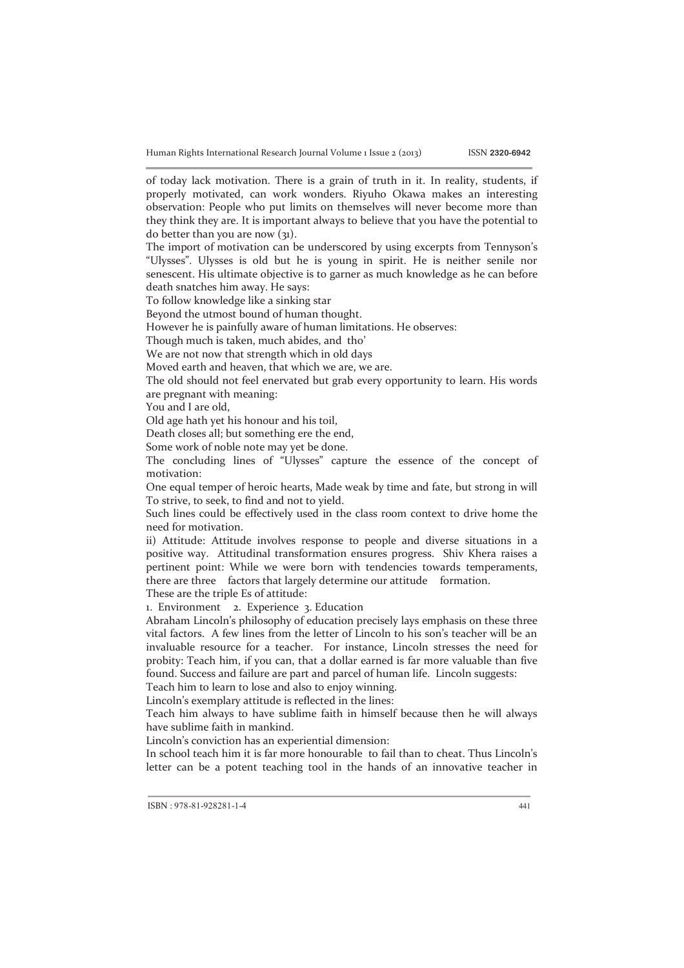Human Rights International Research Journal Volume 1 Issue 2 (2013) ISSN **2320-6942**

of today lack motivation. There is a grain of truth in it. In reality, students, if properly motivated, can work wonders. Riyuho Okawa makes an interesting observation: People who put limits on themselves will never become more than they think they are. It is important always to believe that you have the potential to do better than you are now  $(31)$ .

The import of motivation can be underscored by using excerpts from Tennyson's "Ulysses". Ulysses is old but he is young in spirit. He is neither senile nor senescent. His ultimate objective is to garner as much knowledge as he can before death snatches him away. He says:

To follow knowledge like a sinking star

Beyond the utmost bound of human thought.

However he is painfully aware of human limitations. He observes:

Though much is taken, much abides, and tho'

We are not now that strength which in old days

Moved earth and heaven, that which we are, we are.

The old should not feel enervated but grab every opportunity to learn. His words are pregnant with meaning:

You and I are old,

Old age hath yet his honour and his toil,

Death closes all; but something ere the end,

Some work of noble note may yet be done.

The concluding lines of "Ulysses" capture the essence of the concept of motivation:

One equal temper of heroic hearts, Made weak by time and fate, but strong in will To strive, to seek, to find and not to yield.

Such lines could be effectively used in the class room context to drive home the need for motivation.

ii) Attitude: Attitude involves response to people and diverse situations in a positive way. Attitudinal transformation ensures progress. Shiv Khera raises a pertinent point: While we were born with tendencies towards temperaments, there are three factors that largely determine our attitude formation. These are the triple Es of attitude:

1. Environment 2. Experience 3. Education

Abraham Lincoln's philosophy of education precisely lays emphasis on these three vital factors. A few lines from the letter of Lincoln to his son's teacher will be an invaluable resource for a teacher. For instance, Lincoln stresses the need for probity: Teach him, if you can, that a dollar earned is far more valuable than five found. Success and failure are part and parcel of human life. Lincoln suggests:

Teach him to learn to lose and also to enjoy winning.

Lincoln's exemplary attitude is reflected in the lines:

Teach him always to have sublime faith in himself because then he will always have sublime faith in mankind.

Lincoln's conviction has an experiential dimension:

In school teach him it is far more honourable to fail than to cheat. Thus Lincoln's letter can be a potent teaching tool in the hands of an innovative teacher in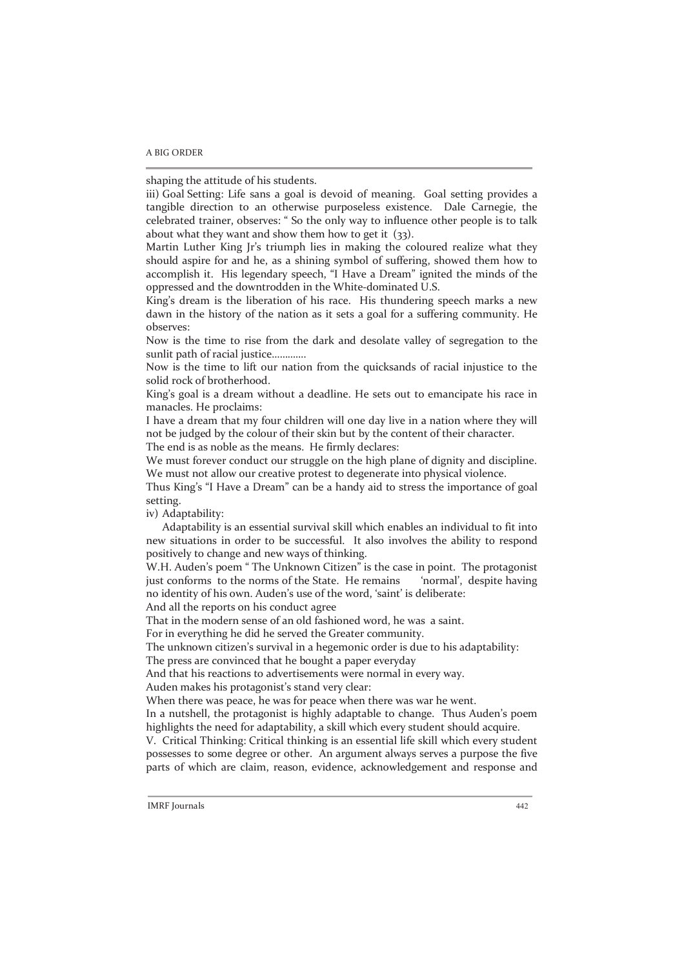### A BIG ORDER

shaping the attitude of his students.

iii) Goal Setting: Life sans a goal is devoid of meaning. Goal setting provides a tangible direction to an otherwise purposeless existence. Dale Carnegie, the celebrated trainer, observes: " So the only way to influence other people is to talk about what they want and show them how to get it (33).

Martin Luther King Jr's triumph lies in making the coloured realize what they should aspire for and he, as a shining symbol of suffering, showed them how to accomplish it. His legendary speech, "I Have a Dream" ignited the minds of the oppressed and the downtrodden in the White-dominated U.S.

King's dream is the liberation of his race. His thundering speech marks a new dawn in the history of the nation as it sets a goal for a suffering community. He observes:

Now is the time to rise from the dark and desolate valley of segregation to the sunlit path of racial justice………….

Now is the time to lift our nation from the quicksands of racial injustice to the solid rock of brotherhood.

King's goal is a dream without a deadline. He sets out to emancipate his race in manacles. He proclaims:

I have a dream that my four children will one day live in a nation where they will not be judged by the colour of their skin but by the content of their character.

The end is as noble as the means. He firmly declares:

We must forever conduct our struggle on the high plane of dignity and discipline. We must not allow our creative protest to degenerate into physical violence.

Thus King's "I Have a Dream" can be a handy aid to stress the importance of goal setting.

iv) Adaptability:

 Adaptability is an essential survival skill which enables an individual to fit into new situations in order to be successful. It also involves the ability to respond positively to change and new ways of thinking.

W.H. Auden's poem " The Unknown Citizen" is the case in point. The protagonist just conforms to the norms of the State. He remains 'normal', despite having no identity of his own. Auden's use of the word, 'saint' is deliberate:

And all the reports on his conduct agree

That in the modern sense of an old fashioned word, he was a saint.

For in everything he did he served the Greater community.

The unknown citizen's survival in a hegemonic order is due to his adaptability:

The press are convinced that he bought a paper everyday

And that his reactions to advertisements were normal in every way.

Auden makes his protagonist's stand very clear:

When there was peace, he was for peace when there was war he went.

In a nutshell, the protagonist is highly adaptable to change. Thus Auden's poem highlights the need for adaptability, a skill which every student should acquire.

V. Critical Thinking: Critical thinking is an essential life skill which every student possesses to some degree or other. An argument always serves a purpose the five parts of which are claim, reason, evidence, acknowledgement and response and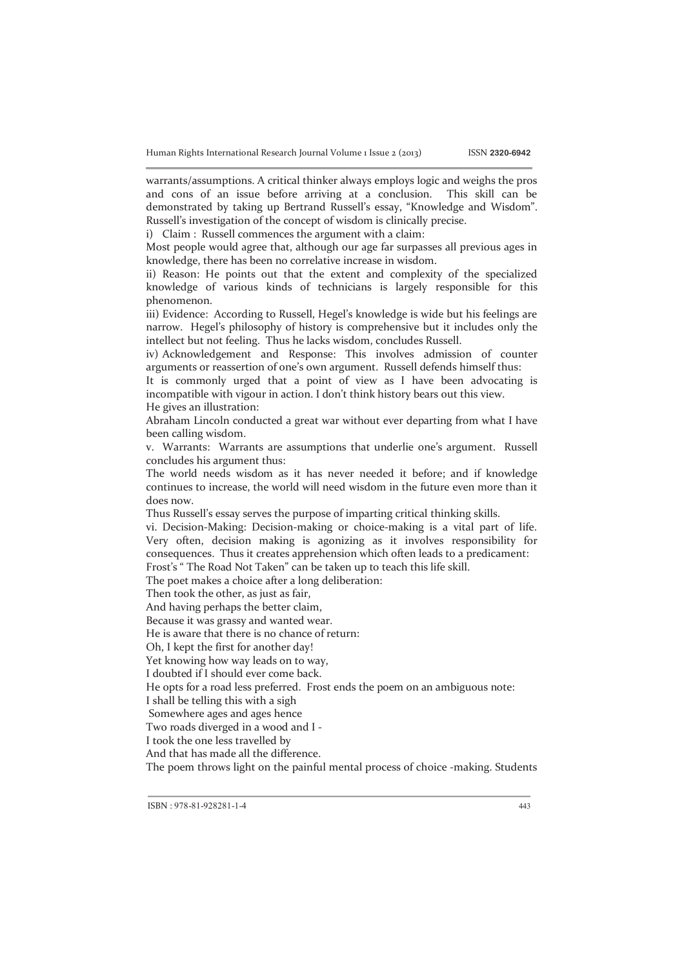warrants/assumptions. A critical thinker always employs logic and weighs the pros and cons of an issue before arriving at a conclusion. This skill can be demonstrated by taking up Bertrand Russell's essay, "Knowledge and Wisdom". Russell's investigation of the concept of wisdom is clinically precise.

i) Claim : Russell commences the argument with a claim:

Most people would agree that, although our age far surpasses all previous ages in knowledge, there has been no correlative increase in wisdom.

ii) Reason: He points out that the extent and complexity of the specialized knowledge of various kinds of technicians is largely responsible for this phenomenon.

iii) Evidence: According to Russell, Hegel's knowledge is wide but his feelings are narrow. Hegel's philosophy of history is comprehensive but it includes only the intellect but not feeling. Thus he lacks wisdom, concludes Russell.

iv) Acknowledgement and Response: This involves admission of counter arguments or reassertion of one's own argument. Russell defends himself thus:

It is commonly urged that a point of view as I have been advocating is incompatible with vigour in action. I don't think history bears out this view. He gives an illustration:

Abraham Lincoln conducted a great war without ever departing from what I have been calling wisdom.

v. Warrants: Warrants are assumptions that underlie one's argument. Russell concludes his argument thus:

The world needs wisdom as it has never needed it before; and if knowledge continues to increase, the world will need wisdom in the future even more than it does now.

Thus Russell's essay serves the purpose of imparting critical thinking skills.

vi. Decision-Making: Decision-making or choice-making is a vital part of life. Very often, decision making is agonizing as it involves responsibility for consequences. Thus it creates apprehension which often leads to a predicament:

Frost's " The Road Not Taken" can be taken up to teach this life skill.

The poet makes a choice after a long deliberation:

Then took the other, as just as fair,

And having perhaps the better claim,

Because it was grassy and wanted wear.

He is aware that there is no chance of return:

Oh, I kept the first for another day!

Yet knowing how way leads on to way,

I doubted if I should ever come back.

He opts for a road less preferred. Frost ends the poem on an ambiguous note:

I shall be telling this with a sigh

Somewhere ages and ages hence

Two roads diverged in a wood and I -

I took the one less travelled by

And that has made all the difference.

The poem throws light on the painful mental process of choice -making. Students